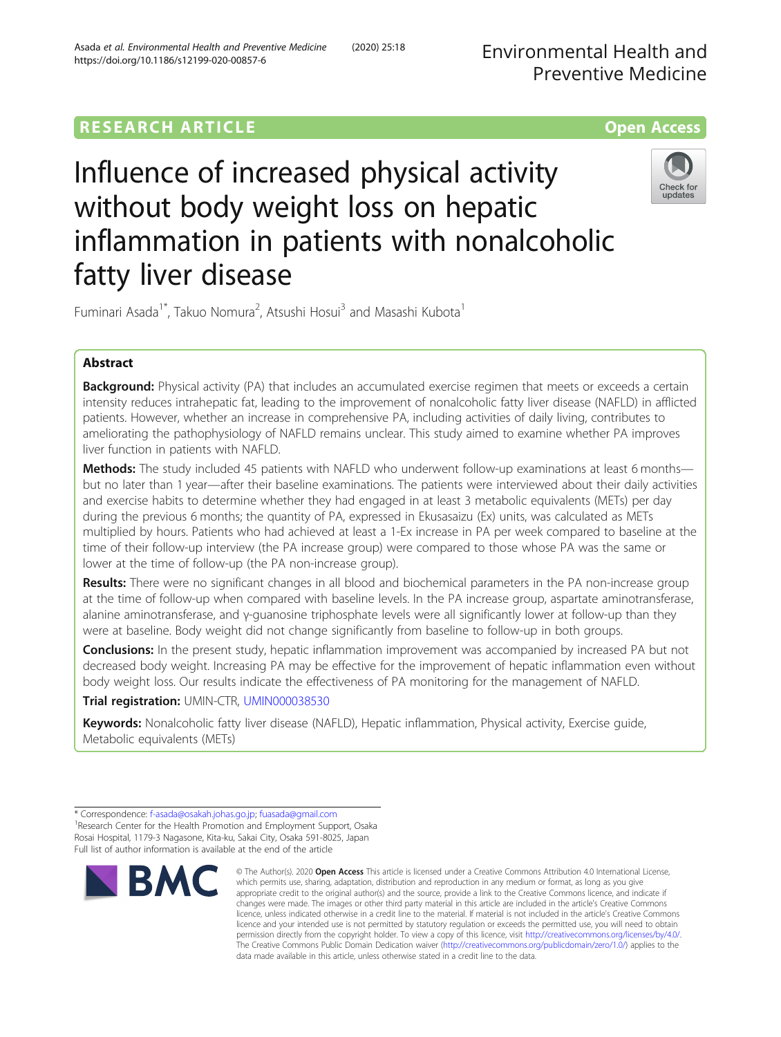# **RESEARCH ARTICLE Example 2014 The Contract of Contract Contract Contract Contract Contract Contract Contract Contract Contract Contract Contract Contract Contract Contract Contract Contract Contract Contract Contract Co**



# Influence of increased physical activity without body weight loss on hepatic inflammation in patients with nonalcoholic fatty liver disease



Fuminari Asada<sup>1\*</sup>, Takuo Nomura<sup>2</sup>, Atsushi Hosui<sup>3</sup> and Masashi Kubota<sup>1</sup>

## Abstract

**Background:** Physical activity (PA) that includes an accumulated exercise regimen that meets or exceeds a certain intensity reduces intrahepatic fat, leading to the improvement of nonalcoholic fatty liver disease (NAFLD) in afflicted patients. However, whether an increase in comprehensive PA, including activities of daily living, contributes to ameliorating the pathophysiology of NAFLD remains unclear. This study aimed to examine whether PA improves liver function in patients with NAFLD.

Methods: The study included 45 patients with NAFLD who underwent follow-up examinations at least 6 months but no later than 1 year—after their baseline examinations. The patients were interviewed about their daily activities and exercise habits to determine whether they had engaged in at least 3 metabolic equivalents (METs) per day during the previous 6 months; the quantity of PA, expressed in Ekusasaizu (Ex) units, was calculated as METs multiplied by hours. Patients who had achieved at least a 1-Ex increase in PA per week compared to baseline at the time of their follow-up interview (the PA increase group) were compared to those whose PA was the same or lower at the time of follow-up (the PA non-increase group).

Results: There were no significant changes in all blood and biochemical parameters in the PA non-increase group at the time of follow-up when compared with baseline levels. In the PA increase group, aspartate aminotransferase, alanine aminotransferase, and γ-guanosine triphosphate levels were all significantly lower at follow-up than they were at baseline. Body weight did not change significantly from baseline to follow-up in both groups.

**Conclusions:** In the present study, hepatic inflammation improvement was accompanied by increased PA but not decreased body weight. Increasing PA may be effective for the improvement of hepatic inflammation even without body weight loss. Our results indicate the effectiveness of PA monitoring for the management of NAFLD.

Trial registration: UMIN-CTR, [UMIN000038530](https://upload.umin.ac.jp/cgi-open-bin/ctr_e/ctr_view.cgi?recptno=R000043289)

Keywords: Nonalcoholic fatty liver disease (NAFLD), Hepatic inflammation, Physical activity, Exercise guide, Metabolic equivalents (METs)

<sup>\*</sup> Correspondence: [f-asada@osakah.johas.go.jp;](mailto:f-asada@osakah.johas.go.jp) [fuasada@gmail.com](mailto:fuasada@gmail.com) <sup>1</sup> <sup>1</sup> Research Center for the Health Promotion and Employment Support, Osaka Rosai Hospital, 1179-3 Nagasone, Kita-ku, Sakai City, Osaka 591-8025, Japan Full list of author information is available at the end of the article



<sup>©</sup> The Author(s), 2020 **Open Access** This article is licensed under a Creative Commons Attribution 4.0 International License, which permits use, sharing, adaptation, distribution and reproduction in any medium or format, as long as you give appropriate credit to the original author(s) and the source, provide a link to the Creative Commons licence, and indicate if changes were made. The images or other third party material in this article are included in the article's Creative Commons licence, unless indicated otherwise in a credit line to the material. If material is not included in the article's Creative Commons licence and your intended use is not permitted by statutory regulation or exceeds the permitted use, you will need to obtain permission directly from the copyright holder. To view a copy of this licence, visit [http://creativecommons.org/licenses/by/4.0/.](http://creativecommons.org/licenses/by/4.0/) The Creative Commons Public Domain Dedication waiver [\(http://creativecommons.org/publicdomain/zero/1.0/](http://creativecommons.org/publicdomain/zero/1.0/)) applies to the data made available in this article, unless otherwise stated in a credit line to the data.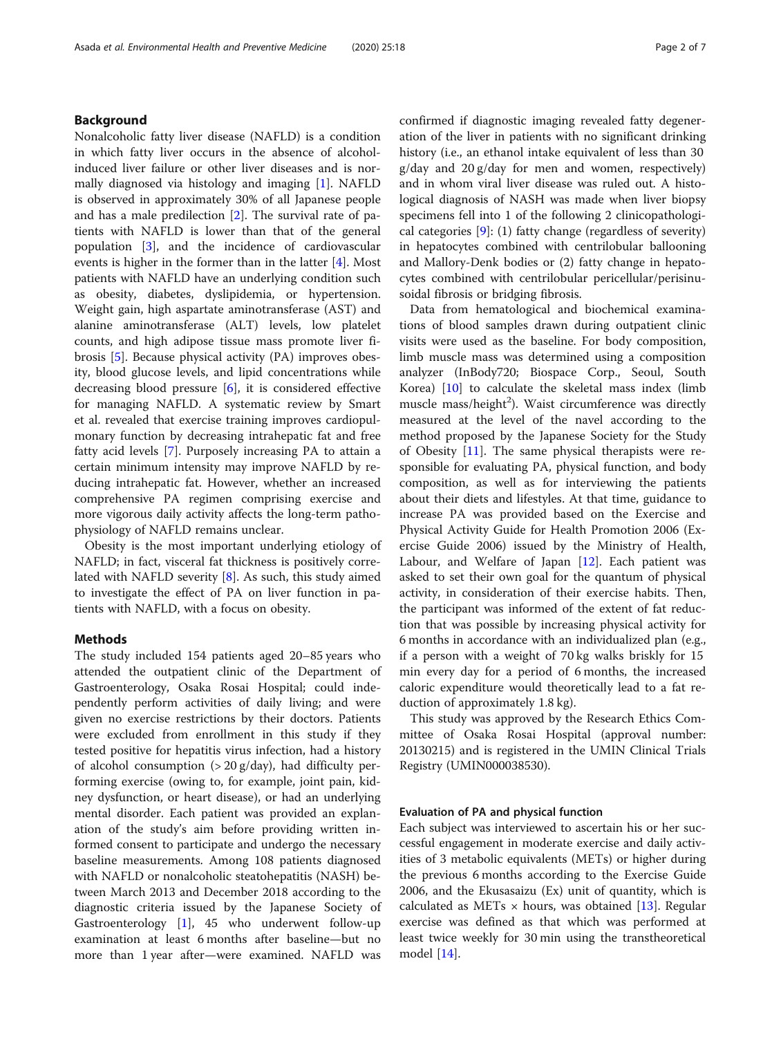## Background

Nonalcoholic fatty liver disease (NAFLD) is a condition in which fatty liver occurs in the absence of alcoholinduced liver failure or other liver diseases and is normally diagnosed via histology and imaging [[1\]](#page-6-0). NAFLD is observed in approximately 30% of all Japanese people and has a male predilection [\[2](#page-6-0)]. The survival rate of patients with NAFLD is lower than that of the general population [\[3](#page-6-0)], and the incidence of cardiovascular events is higher in the former than in the latter [\[4](#page-6-0)]. Most patients with NAFLD have an underlying condition such as obesity, diabetes, dyslipidemia, or hypertension. Weight gain, high aspartate aminotransferase (AST) and alanine aminotransferase (ALT) levels, low platelet counts, and high adipose tissue mass promote liver fibrosis [\[5](#page-6-0)]. Because physical activity (PA) improves obesity, blood glucose levels, and lipid concentrations while decreasing blood pressure [\[6](#page-6-0)], it is considered effective for managing NAFLD. A systematic review by Smart et al. revealed that exercise training improves cardiopulmonary function by decreasing intrahepatic fat and free fatty acid levels [[7\]](#page-6-0). Purposely increasing PA to attain a certain minimum intensity may improve NAFLD by reducing intrahepatic fat. However, whether an increased comprehensive PA regimen comprising exercise and more vigorous daily activity affects the long-term pathophysiology of NAFLD remains unclear.

Obesity is the most important underlying etiology of NAFLD; in fact, visceral fat thickness is positively correlated with NAFLD severity [\[8](#page-6-0)]. As such, this study aimed to investigate the effect of PA on liver function in patients with NAFLD, with a focus on obesity.

## Methods

The study included 154 patients aged 20–85 years who attended the outpatient clinic of the Department of Gastroenterology, Osaka Rosai Hospital; could independently perform activities of daily living; and were given no exercise restrictions by their doctors. Patients were excluded from enrollment in this study if they tested positive for hepatitis virus infection, had a history of alcohol consumption  $(> 20 \frac{g}{day})$ , had difficulty performing exercise (owing to, for example, joint pain, kidney dysfunction, or heart disease), or had an underlying mental disorder. Each patient was provided an explanation of the study's aim before providing written informed consent to participate and undergo the necessary baseline measurements. Among 108 patients diagnosed with NAFLD or nonalcoholic steatohepatitis (NASH) between March 2013 and December 2018 according to the diagnostic criteria issued by the Japanese Society of Gastroenterology [\[1](#page-6-0)], 45 who underwent follow-up examination at least 6 months after baseline—but no more than 1 year after—were examined. NAFLD was confirmed if diagnostic imaging revealed fatty degeneration of the liver in patients with no significant drinking history (i.e., an ethanol intake equivalent of less than 30 g/day and 20 g/day for men and women, respectively) and in whom viral liver disease was ruled out. A histological diagnosis of NASH was made when liver biopsy specimens fell into 1 of the following 2 clinicopathological categories [\[9\]](#page-6-0): (1) fatty change (regardless of severity) in hepatocytes combined with centrilobular ballooning and Mallory-Denk bodies or (2) fatty change in hepatocytes combined with centrilobular pericellular/perisinusoidal fibrosis or bridging fibrosis.

Data from hematological and biochemical examinations of blood samples drawn during outpatient clinic visits were used as the baseline. For body composition, limb muscle mass was determined using a composition analyzer (InBody720; Biospace Corp., Seoul, South Korea) [\[10\]](#page-6-0) to calculate the skeletal mass index (limb muscle mass/height<sup>2</sup>). Waist circumference was directly measured at the level of the navel according to the method proposed by the Japanese Society for the Study of Obesity  $[11]$ . The same physical therapists were responsible for evaluating PA, physical function, and body composition, as well as for interviewing the patients about their diets and lifestyles. At that time, guidance to increase PA was provided based on the Exercise and Physical Activity Guide for Health Promotion 2006 (Exercise Guide 2006) issued by the Ministry of Health, Labour, and Welfare of Japan [\[12\]](#page-6-0). Each patient was asked to set their own goal for the quantum of physical activity, in consideration of their exercise habits. Then, the participant was informed of the extent of fat reduction that was possible by increasing physical activity for 6 months in accordance with an individualized plan (e.g., if a person with a weight of 70 kg walks briskly for 15 min every day for a period of 6 months, the increased caloric expenditure would theoretically lead to a fat reduction of approximately 1.8 kg).

This study was approved by the Research Ethics Committee of Osaka Rosai Hospital (approval number: 20130215) and is registered in the UMIN Clinical Trials Registry (UMIN000038530).

## Evaluation of PA and physical function

Each subject was interviewed to ascertain his or her successful engagement in moderate exercise and daily activities of 3 metabolic equivalents (METs) or higher during the previous 6 months according to the Exercise Guide 2006, and the Ekusasaizu (Ex) unit of quantity, which is calculated as METs  $\times$  hours, was obtained [[13\]](#page-6-0). Regular exercise was defined as that which was performed at least twice weekly for 30 min using the transtheoretical model [\[14](#page-6-0)].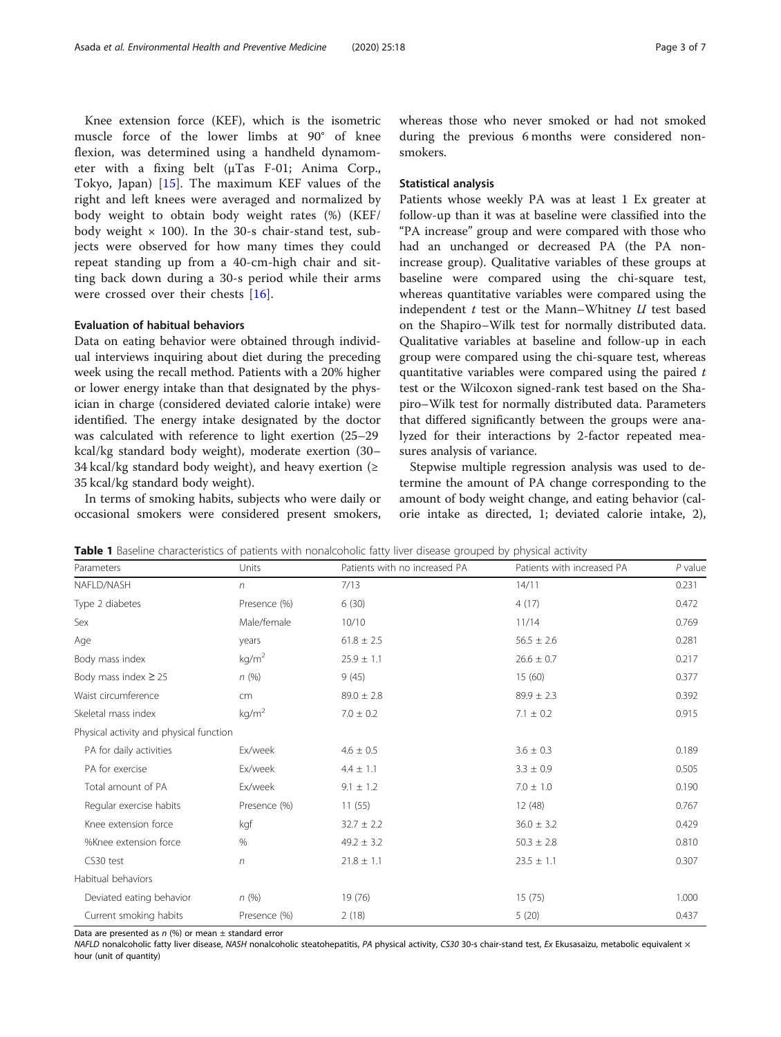<span id="page-2-0"></span>Knee extension force (KEF), which is the isometric muscle force of the lower limbs at 90° of knee flexion, was determined using a handheld dynamometer with a fixing belt (μTas F-01; Anima Corp., Tokyo, Japan) [\[15](#page-6-0)]. The maximum KEF values of the right and left knees were averaged and normalized by body weight to obtain body weight rates (%) (KEF/ body weight  $\times$  100). In the 30-s chair-stand test, subjects were observed for how many times they could repeat standing up from a 40-cm-high chair and sitting back down during a 30-s period while their arms were crossed over their chests [\[16](#page-6-0)].

## Evaluation of habitual behaviors

Data on eating behavior were obtained through individual interviews inquiring about diet during the preceding week using the recall method. Patients with a 20% higher or lower energy intake than that designated by the physician in charge (considered deviated calorie intake) were identified. The energy intake designated by the doctor was calculated with reference to light exertion (25–29 kcal/kg standard body weight), moderate exertion (30– 34 kcal/kg standard body weight), and heavy exertion ( $\geq$ 35 kcal/kg standard body weight).

In terms of smoking habits, subjects who were daily or occasional smokers were considered present smokers,

whereas those who never smoked or had not smoked during the previous 6 months were considered nonsmokers.

## Statistical analysis

Patients whose weekly PA was at least 1 Ex greater at follow-up than it was at baseline were classified into the "PA increase" group and were compared with those who had an unchanged or decreased PA (the PA nonincrease group). Qualitative variables of these groups at baseline were compared using the chi-square test, whereas quantitative variables were compared using the independent  $t$  test or the Mann–Whitney  $U$  test based on the Shapiro–Wilk test for normally distributed data. Qualitative variables at baseline and follow-up in each group were compared using the chi-square test, whereas quantitative variables were compared using the paired  $t$ test or the Wilcoxon signed-rank test based on the Shapiro–Wilk test for normally distributed data. Parameters that differed significantly between the groups were analyzed for their interactions by 2-factor repeated measures analysis of variance.

Stepwise multiple regression analysis was used to determine the amount of PA change corresponding to the amount of body weight change, and eating behavior (calorie intake as directed, 1; deviated calorie intake, 2),

| Table 1 Baseline characteristics of patients with nonalcoholic fatty liver disease grouped by physical activity |  |
|-----------------------------------------------------------------------------------------------------------------|--|
|-----------------------------------------------------------------------------------------------------------------|--|

| Parameters                              | Units             | Patients with no increased PA | Patients with increased PA | $P$ value |
|-----------------------------------------|-------------------|-------------------------------|----------------------------|-----------|
| NAFLD/NASH                              | $\sqrt{n}$        | 7/13                          | 14/11                      | 0.231     |
| Type 2 diabetes                         | Presence (%)      | 6(30)                         | 4(17)                      | 0.472     |
| Sex                                     | Male/female       | 10/10                         | 11/14                      | 0.769     |
| Age                                     | years             | $61.8 \pm 2.5$                | $56.5 \pm 2.6$             | 0.281     |
| Body mass index                         | kg/m <sup>2</sup> | $25.9 \pm 1.1$                | $26.6 \pm 0.7$             | 0.217     |
| Body mass index $\geq$ 25               | n(%)              | 9(45)                         | 15(60)                     | 0.377     |
| Waist circumference                     | cm                | $89.0 \pm 2.8$                | $89.9 \pm 2.3$             | 0.392     |
| Skeletal mass index                     | kg/m <sup>2</sup> | $7.0 \pm 0.2$                 | $7.1 \pm 0.2$              | 0.915     |
| Physical activity and physical function |                   |                               |                            |           |
| PA for daily activities                 | Ex/week           | $4.6 \pm 0.5$                 | $3.6 \pm 0.3$              | 0.189     |
| PA for exercise                         | Ex/week           | $4.4 \pm 1.1$                 | $3.3 \pm 0.9$              | 0.505     |
| Total amount of PA                      | Ex/week           | $9.1 \pm 1.2$                 | $7.0 \pm 1.0$              | 0.190     |
| Regular exercise habits                 | Presence (%)      | 11(55)                        | 12 (48)                    | 0.767     |
| Knee extension force                    | kgf               | $32.7 \pm 2.2$                | $36.0 \pm 3.2$             | 0.429     |
| %Knee extension force                   | %                 | $49.2 \pm 3.2$                | $50.3 \pm 2.8$             | 0.810     |
| CS30 test                               | $\eta$            | $21.8 \pm 1.1$                | $23.5 \pm 1.1$             | 0.307     |
| Habitual behaviors                      |                   |                               |                            |           |
| Deviated eating behavior                | n(%)              | 19 (76)                       | 15(75)                     | 1.000     |
| Current smoking habits                  | Presence (%)      | 2(18)                         | 5(20)                      | 0.437     |

Data are presented as  $n$  (%) or mean  $\pm$  standard error

NAFLD nonalcoholic fatty liver disease, NASH nonalcoholic steatohepatitis, PA physical activity, CS30 30-s chair-stand test, Ex Ekusasaizu, metabolic equivalent × hour (unit of quantity)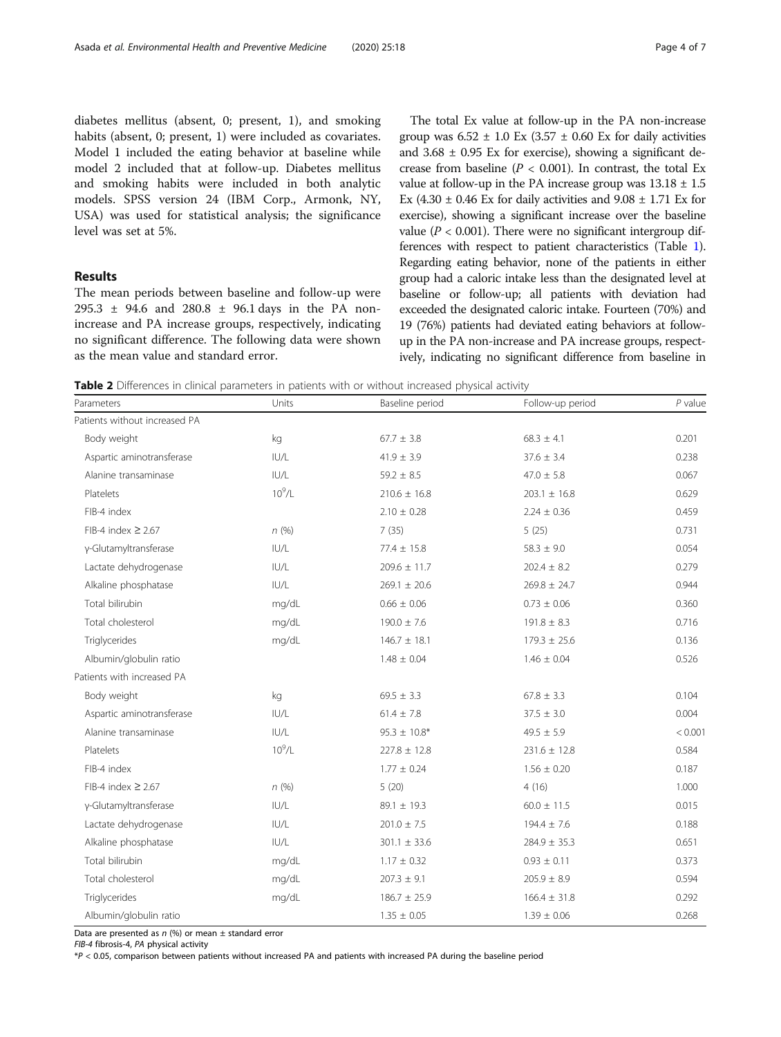<span id="page-3-0"></span>diabetes mellitus (absent, 0; present, 1), and smoking habits (absent, 0; present, 1) were included as covariates. Model 1 included the eating behavior at baseline while model 2 included that at follow-up. Diabetes mellitus and smoking habits were included in both analytic models. SPSS version 24 (IBM Corp., Armonk, NY, USA) was used for statistical analysis; the significance level was set at 5%.

## Results

The mean periods between baseline and follow-up were 295.3 ± 94.6 and 280.8 ± 96.1 days in the PA nonincrease and PA increase groups, respectively, indicating no significant difference. The following data were shown as the mean value and standard error.

The total Ex value at follow-up in the PA non-increase group was  $6.52 \pm 1.0$  Ex (3.57  $\pm$  0.60 Ex for daily activities and  $3.68 \pm 0.95$  Ex for exercise), showing a significant decrease from baseline ( $P < 0.001$ ). In contrast, the total Ex value at follow-up in the PA increase group was  $13.18 \pm 1.5$ Ex (4.30  $\pm$  0.46 Ex for daily activities and 9.08  $\pm$  1.71 Ex for exercise), showing a significant increase over the baseline value ( $P < 0.001$ ). There were no significant intergroup differences with respect to patient characteristics (Table [1](#page-2-0)). Regarding eating behavior, none of the patients in either group had a caloric intake less than the designated level at baseline or follow-up; all patients with deviation had exceeded the designated caloric intake. Fourteen (70%) and 19 (76%) patients had deviated eating behaviors at followup in the PA non-increase and PA increase groups, respectively, indicating no significant difference from baseline in

Table 2 Differences in clinical parameters in patients with or without increased physical activity

| Parameters                    | Units       | Baseline period   | Follow-up period | $P$ value |
|-------------------------------|-------------|-------------------|------------------|-----------|
| Patients without increased PA |             |                   |                  |           |
| Body weight                   | kg          | $67.7 \pm 3.8$    | $68.3 \pm 4.1$   |           |
| Aspartic aminotransferase     | IUI/L       | $41.9 \pm 3.9$    | $37.6 \pm 3.4$   | 0.238     |
| Alanine transaminase          | IUI/L       | $59.2 \pm 8.5$    | $47.0 \pm 5.8$   | 0.067     |
| Platelets                     | $10^9$ /L   | $210.6 \pm 16.8$  | $203.1 \pm 16.8$ | 0.629     |
| FIB-4 index                   |             | $2.10 \pm 0.28$   | $2.24 \pm 0.36$  | 0.459     |
| FIB-4 index $\geq$ 2.67       | n(%)        | 7(35)             | 5(25)            | 0.731     |
| γ-Glutamyltransferase         | IUI/L       | $77.4 \pm 15.8$   | $58.3 \pm 9.0$   | 0.054     |
| Lactate dehydrogenase         | IUI/L       | $209.6 \pm 11.7$  | $202.4 \pm 8.2$  | 0.279     |
| Alkaline phosphatase          | IUI/L       | $269.1 \pm 20.6$  | $269.8 \pm 24.7$ | 0.944     |
| Total bilirubin               | mg/dL       | $0.66 \pm 0.06$   | $0.73 \pm 0.06$  | 0.360     |
| Total cholesterol             | mg/dL       | $190.0 \pm 7.6$   | $191.8 \pm 8.3$  | 0.716     |
| Triglycerides                 | mg/dL       | $146.7 \pm 18.1$  | $179.3 \pm 25.6$ | 0.136     |
| Albumin/globulin ratio        |             | $1.48 \pm 0.04$   | $1.46 \pm 0.04$  | 0.526     |
| Patients with increased PA    |             |                   |                  |           |
| Body weight                   | kg          | $69.5 \pm 3.3$    | $67.8 \pm 3.3$   | 0.104     |
| Aspartic aminotransferase     | IUI/L       | $61.4 \pm 7.8$    | $37.5 \pm 3.0$   | 0.004     |
| Alanine transaminase          | IUI/L       | $95.3 \pm 10.8^*$ | $49.5 \pm 5.9$   | < 0.001   |
| Platelets                     | $10^{9}$ /L | $227.8 \pm 12.8$  | $231.6 \pm 12.8$ | 0.584     |
| FIB-4 index                   |             | $1.77 \pm 0.24$   | $1.56 \pm 0.20$  | 0.187     |
| FIB-4 index $\geq$ 2.67       | n(%)        | 5(20)             | 4(16)            | 1.000     |
| γ-Glutamyltransferase         | IUI/L       | $89.1 \pm 19.3$   | $60.0 \pm 11.5$  | 0.015     |
| Lactate dehydrogenase         | IUI/L       | $201.0 \pm 7.5$   | $194.4 \pm 7.6$  | 0.188     |
| Alkaline phosphatase          | IUI/L       | $301.1 \pm 33.6$  | $284.9 \pm 35.3$ | 0.651     |
| Total bilirubin               | mg/dL       | $1.17 \pm 0.32$   | $0.93 \pm 0.11$  | 0.373     |
| Total cholesterol             | mg/dL       | $207.3 \pm 9.1$   | $205.9 \pm 8.9$  | 0.594     |
| Triglycerides                 | mg/dL       | $186.7 \pm 25.9$  | $166.4 \pm 31.8$ | 0.292     |
| Albumin/globulin ratio        |             | $1.35 \pm 0.05$   | $1.39 \pm 0.06$  | 0.268     |

Data are presented as  $n$  (%) or mean  $\pm$  standard error

FIB-4 fibrosis-4, PA physical activity

\*P < 0.05, comparison between patients without increased PA and patients with increased PA during the baseline period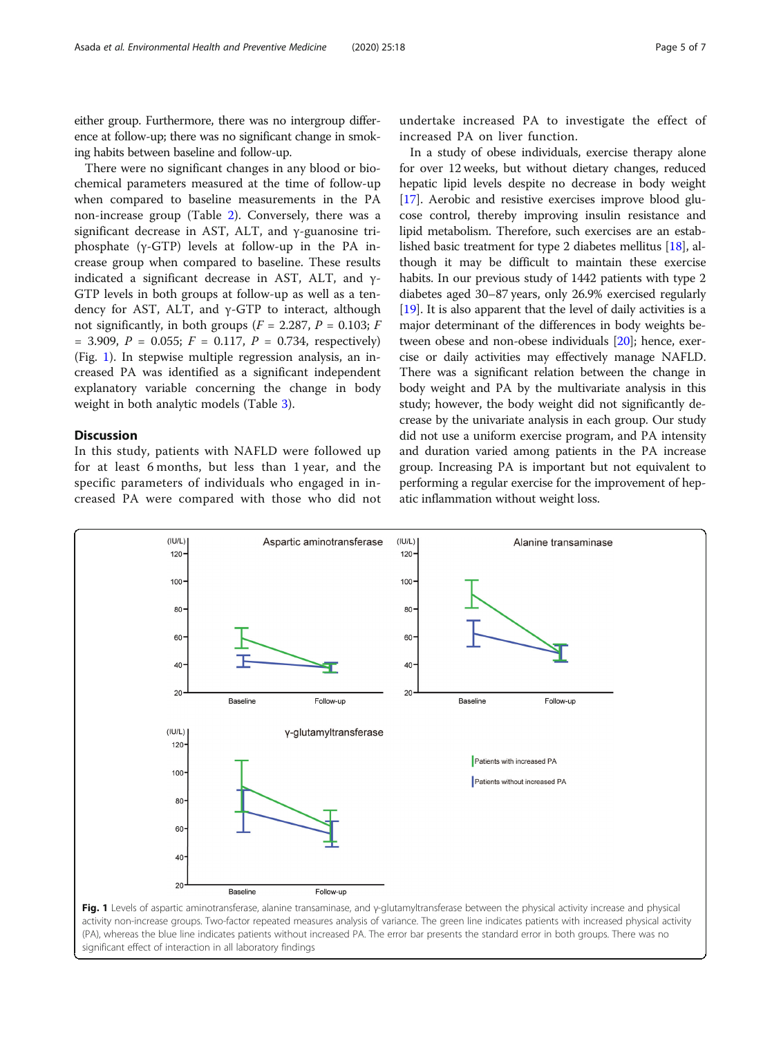either group. Furthermore, there was no intergroup difference at follow-up; there was no significant change in smoking habits between baseline and follow-up.

There were no significant changes in any blood or biochemical parameters measured at the time of follow-up when compared to baseline measurements in the PA non-increase group (Table [2\)](#page-3-0). Conversely, there was a significant decrease in AST, ALT, and γ-guanosine triphosphate (γ-GTP) levels at follow-up in the PA increase group when compared to baseline. These results indicated a significant decrease in AST, ALT, and  $\gamma$ -GTP levels in both groups at follow-up as well as a tendency for AST, ALT, and γ-GTP to interact, although not significantly, in both groups ( $F = 2.287$ ,  $P = 0.103$ ;  $F = 0.103$  $= 3.909, P = 0.055; F = 0.117, P = 0.734$ , respectively) (Fig. 1). In stepwise multiple regression analysis, an increased PA was identified as a significant independent explanatory variable concerning the change in body weight in both analytic models (Table [3\)](#page-5-0).

## **Discussion**

In this study, patients with NAFLD were followed up for at least 6 months, but less than 1 year, and the specific parameters of individuals who engaged in increased PA were compared with those who did not

undertake increased PA to investigate the effect of increased PA on liver function.

In a study of obese individuals, exercise therapy alone for over 12 weeks, but without dietary changes, reduced hepatic lipid levels despite no decrease in body weight [[17](#page-6-0)]. Aerobic and resistive exercises improve blood glucose control, thereby improving insulin resistance and lipid metabolism. Therefore, such exercises are an established basic treatment for type 2 diabetes mellitus [[18](#page-6-0)], although it may be difficult to maintain these exercise habits. In our previous study of 1442 patients with type 2 diabetes aged 30–87 years, only 26.9% exercised regularly [[19](#page-6-0)]. It is also apparent that the level of daily activities is a major determinant of the differences in body weights between obese and non-obese individuals [[20](#page-6-0)]; hence, exercise or daily activities may effectively manage NAFLD. There was a significant relation between the change in body weight and PA by the multivariate analysis in this study; however, the body weight did not significantly decrease by the univariate analysis in each group. Our study did not use a uniform exercise program, and PA intensity and duration varied among patients in the PA increase group. Increasing PA is important but not equivalent to performing a regular exercise for the improvement of hepatic inflammation without weight loss.



activity non-increase groups. Two-factor repeated measures analysis of variance. The green line indicates patients with increased physical activity (PA), whereas the blue line indicates patients without increased PA. The error bar presents the standard error in both groups. There was no significant effect of interaction in all laboratory findings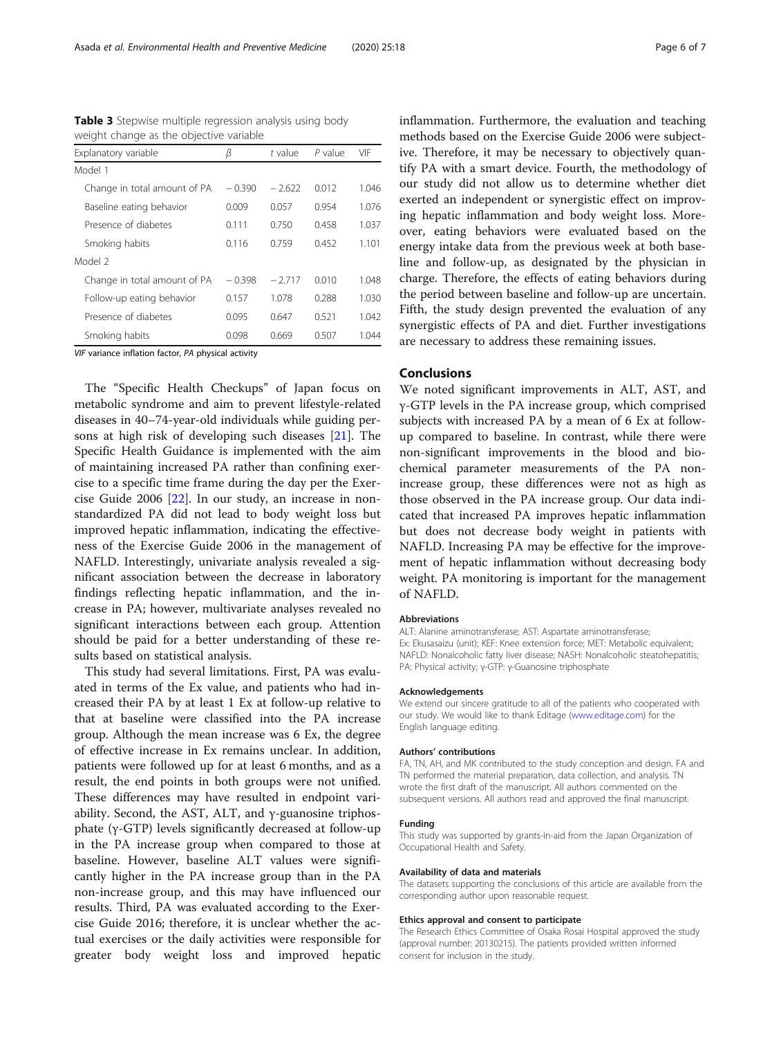| Explanatory variable         | β        | t value  | $P$ value | VIF   |
|------------------------------|----------|----------|-----------|-------|
| Model 1                      |          |          |           |       |
| Change in total amount of PA | $-0.390$ | $-2.622$ | 0.012     | 1.046 |
| Baseline eating behavior     | 0.009    | 0.057    | 0.954     | 1.076 |
| Presence of diabetes         | 0.111    | 0.750    | 0.458     | 1.037 |
| Smoking habits               | 0.116    | 0.759    | 0.452     | 1.101 |
| Model 2                      |          |          |           |       |
| Change in total amount of PA | $-0.398$ | $-2717$  | 0010      | 1.048 |
| Follow-up eating behavior    | 0.157    | 1.078    | 0.288     | 1.030 |
| Presence of diabetes         | 0.095    | 0.647    | 0.521     | 1.042 |
| Smoking habits               | 0.098    | 0.669    | 0507      | 1 044 |

<span id="page-5-0"></span>Table 3 Stepwise multiple regression analysis using body weight change as the objective variable

VIF variance inflation factor, PA physical activity

The "Specific Health Checkups" of Japan focus on metabolic syndrome and aim to prevent lifestyle-related diseases in 40–74-year-old individuals while guiding persons at high risk of developing such diseases [[21\]](#page-6-0). The Specific Health Guidance is implemented with the aim of maintaining increased PA rather than confining exercise to a specific time frame during the day per the Exercise Guide 2006 [[22\]](#page-6-0). In our study, an increase in nonstandardized PA did not lead to body weight loss but improved hepatic inflammation, indicating the effectiveness of the Exercise Guide 2006 in the management of NAFLD. Interestingly, univariate analysis revealed a significant association between the decrease in laboratory findings reflecting hepatic inflammation, and the increase in PA; however, multivariate analyses revealed no significant interactions between each group. Attention should be paid for a better understanding of these results based on statistical analysis.

This study had several limitations. First, PA was evaluated in terms of the Ex value, and patients who had increased their PA by at least 1 Ex at follow-up relative to that at baseline were classified into the PA increase group. Although the mean increase was 6 Ex, the degree of effective increase in Ex remains unclear. In addition, patients were followed up for at least 6 months, and as a result, the end points in both groups were not unified. These differences may have resulted in endpoint variability. Second, the AST, ALT, and γ-guanosine triphosphate (γ-GTP) levels significantly decreased at follow-up in the PA increase group when compared to those at baseline. However, baseline ALT values were significantly higher in the PA increase group than in the PA non-increase group, and this may have influenced our results. Third, PA was evaluated according to the Exercise Guide 2016; therefore, it is unclear whether the actual exercises or the daily activities were responsible for greater body weight loss and improved hepatic inflammation. Furthermore, the evaluation and teaching methods based on the Exercise Guide 2006 were subjective. Therefore, it may be necessary to objectively quantify PA with a smart device. Fourth, the methodology of our study did not allow us to determine whether diet exerted an independent or synergistic effect on improving hepatic inflammation and body weight loss. Moreover, eating behaviors were evaluated based on the energy intake data from the previous week at both baseline and follow-up, as designated by the physician in charge. Therefore, the effects of eating behaviors during the period between baseline and follow-up are uncertain. Fifth, the study design prevented the evaluation of any synergistic effects of PA and diet. Further investigations are necessary to address these remaining issues.

## Conclusions

We noted significant improvements in ALT, AST, and γ-GTP levels in the PA increase group, which comprised subjects with increased PA by a mean of 6 Ex at followup compared to baseline. In contrast, while there were non-significant improvements in the blood and biochemical parameter measurements of the PA nonincrease group, these differences were not as high as those observed in the PA increase group. Our data indicated that increased PA improves hepatic inflammation but does not decrease body weight in patients with NAFLD. Increasing PA may be effective for the improvement of hepatic inflammation without decreasing body weight. PA monitoring is important for the management of NAFLD.

#### Abbreviations

ALT: Alanine aminotransferase; AST: Aspartate aminotransferase; Ex: Ekusasaizu (unit); KEF: Knee extension force; MET: Metabolic equivalent; NAFLD: Nonalcoholic fatty liver disease; NASH: Nonalcoholic steatohepatitis; PA: Physical activity; γ-GTP: γ-Guanosine triphosphate

#### Acknowledgements

We extend our sincere gratitude to all of the patients who cooperated with our study. We would like to thank Editage [\(www.editage.com\)](http://www.editage.com) for the English language editing.

#### Authors' contributions

FA, TN, AH, and MK contributed to the study conception and design. FA and TN performed the material preparation, data collection, and analysis. TN wrote the first draft of the manuscript. All authors commented on the subsequent versions. All authors read and approved the final manuscript.

#### Funding

This study was supported by grants-in-aid from the Japan Organization of Occupational Health and Safety.

#### Availability of data and materials

The datasets supporting the conclusions of this article are available from the corresponding author upon reasonable request.

#### Ethics approval and consent to participate

The Research Ethics Committee of Osaka Rosai Hospital approved the study (approval number: 20130215). The patients provided written informed consent for inclusion in the study.